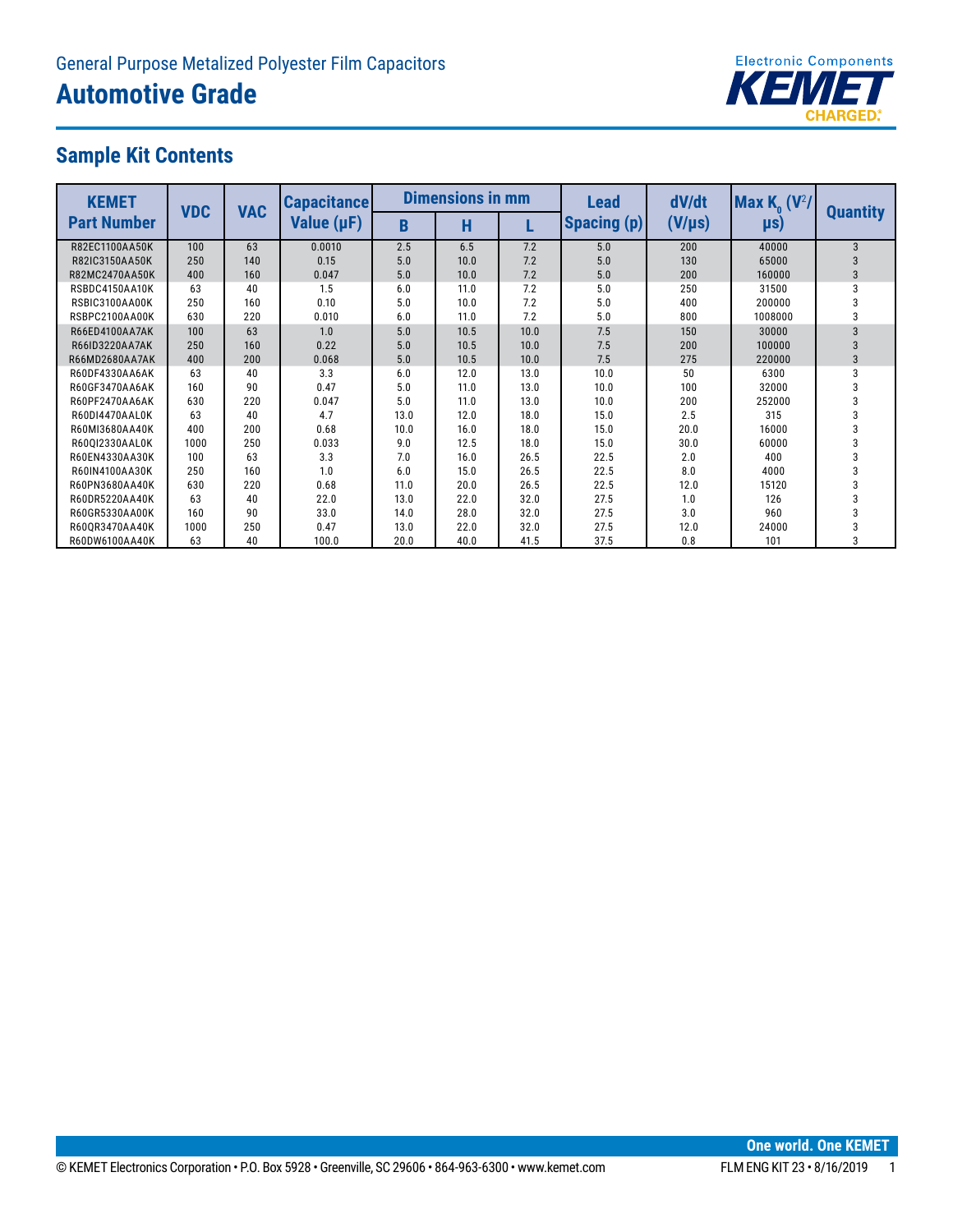

### **Sample Kit Contents**

| <b>KEMET</b>       | <b>VDC</b> | <b>VAC</b> | <b>Capacitance</b> |      | <b>Dimensions in mm</b> |      | Lead               | dV/dt       | Max $K_{\alpha}$ (V <sup>2</sup> / |                 |
|--------------------|------------|------------|--------------------|------|-------------------------|------|--------------------|-------------|------------------------------------|-----------------|
| <b>Part Number</b> |            |            | Value (µF)         | B    | н                       |      | <b>Spacing (p)</b> | $(V/\mu s)$ | $\mu s$                            | <b>Quantity</b> |
| R82EC1100AA50K     | 100        | 63         | 0.0010             | 2.5  | 6.5                     | 7.2  | 5.0                | 200         | 40000                              | 3               |
| R82IC3150AA50K     | 250        | 140        | 0.15               | 5.0  | 10.0                    | 7.2  | 5.0                | 130         | 65000                              | 3               |
| R82MC2470AA50K     | 400        | 160        | 0.047              | 5.0  | 10.0                    | 7.2  | 5.0                | 200         | 160000                             | 3               |
| RSBDC4150AA10K     | 63         | 40         | 1.5                | 6.0  | 11.0                    | 7.2  | 5.0                | 250         | 31500                              | 3               |
| RSBIC3100AA00K     | 250        | 160        | 0.10               | 5.0  | 10.0                    | 7.2  | 5.0                | 400         | 200000                             | 3               |
| RSBPC2100AA00K     | 630        | 220        | 0.010              | 6.0  | 11.0                    | 7.2  | 5.0                | 800         | 1008000                            | 3               |
| R66ED4100AA7AK     | 100        | 63         | 1.0                | 5.0  | 10.5                    | 10.0 | 7.5                | 150         | 30000                              | 3               |
| R66ID3220AA7AK     | 250        | 160        | 0.22               | 5.0  | 10.5                    | 10.0 | 7.5                | 200         | 100000                             | 3               |
| R66MD2680AA7AK     | 400        | 200        | 0.068              | 5.0  | 10.5                    | 10.0 | 7.5                | 275         | 220000                             | 3               |
| R60DF4330AA6AK     | 63         | 40         | 3.3                | 6.0  | 12.0                    | 13.0 | 10.0               | 50          | 6300                               | 3               |
| R60GF3470AA6AK     | 160        | 90         | 0.47               | 5.0  | 11.0                    | 13.0 | 10.0               | 100         | 32000                              | 3               |
| R60PF2470AA6AK     | 630        | 220        | 0.047              | 5.0  | 11.0                    | 13.0 | 10.0               | 200         | 252000                             | 3               |
| R60DI4470AAL0K     | 63         | 40         | 4.7                | 13.0 | 12.0                    | 18.0 | 15.0               | 2.5         | 315                                | 3               |
| R60MI3680AA40K     | 400        | 200        | 0.68               | 10.0 | 16.0                    | 18.0 | 15.0               | 20.0        | 16000                              | 3               |
| R60QI2330AAL0K     | 1000       | 250        | 0.033              | 9.0  | 12.5                    | 18.0 | 15.0               | 30.0        | 60000                              | 3               |
| R60EN4330AA30K     | 100        | 63         | 3.3                | 7.0  | 16.0                    | 26.5 | 22.5               | 2.0         | 400                                | 3               |
| R60IN4100AA30K     | 250        | 160        | 1.0                | 6.0  | 15.0                    | 26.5 | 22.5               | 8.0         | 4000                               | 3               |
| R60PN3680AA40K     | 630        | 220        | 0.68               | 11.0 | 20.0                    | 26.5 | 22.5               | 12.0        | 15120                              | 3               |
| R60DR5220AA40K     | 63         | 40         | 22.0               | 13.0 | 22.0                    | 32.0 | 27.5               | 1.0         | 126                                | 3               |
| R60GR5330AA00K     | 160        | 90         | 33.0               | 14.0 | 28.0                    | 32.0 | 27.5               | 3.0         | 960                                | 3               |
| R60QR3470AA40K     | 1000       | 250        | 0.47               | 13.0 | 22.0                    | 32.0 | 27.5               | 12.0        | 24000                              | 3               |
| R60DW6100AA40K     | 63         | 40         | 100.0              | 20.0 | 40.0                    | 41.5 | 37.5               | 0.8         | 101                                | 3               |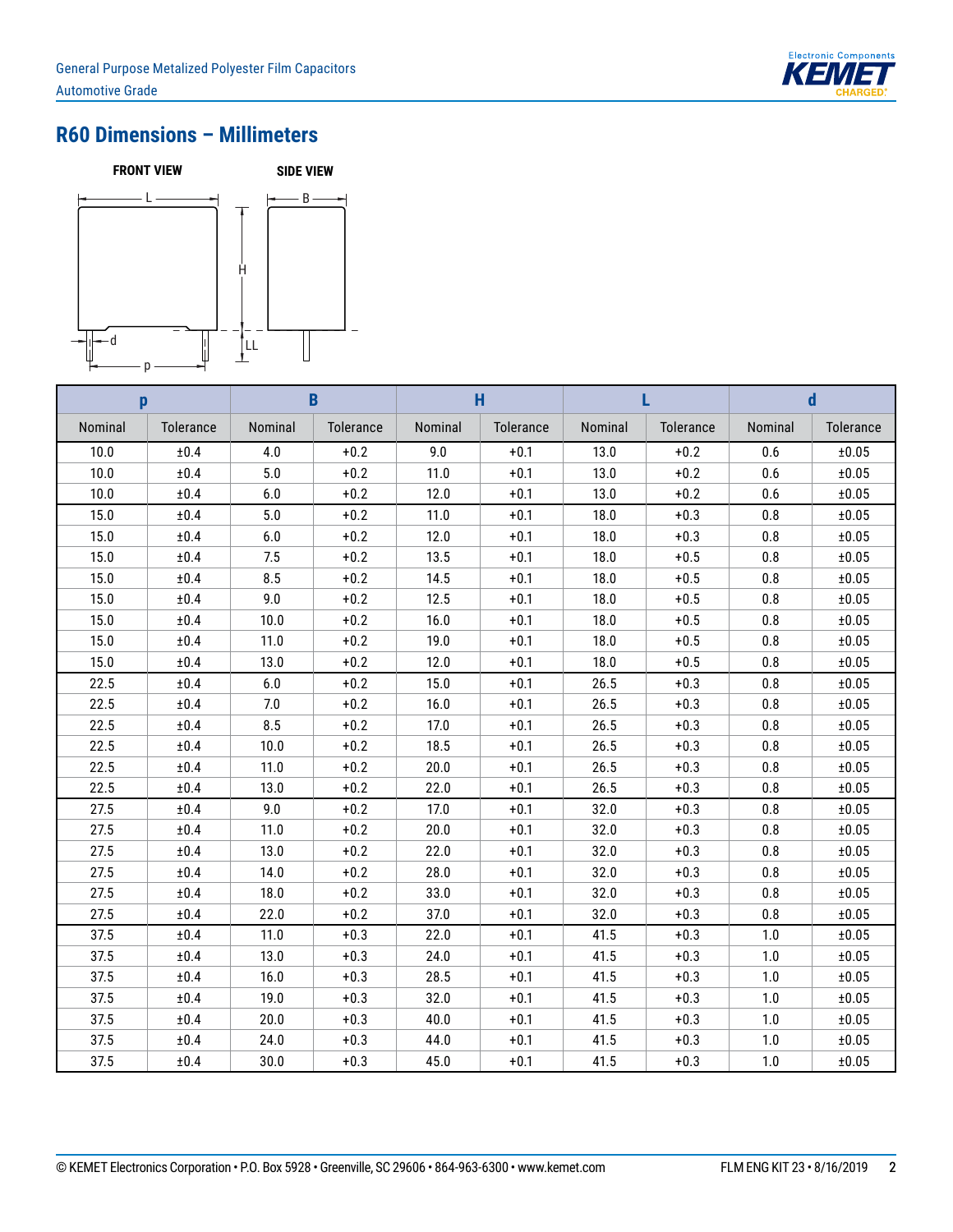

## **R60 Dimensions – Millimeters**



| p       |           | B       |           |         | H         |         |           |         | d         |
|---------|-----------|---------|-----------|---------|-----------|---------|-----------|---------|-----------|
| Nominal | Tolerance | Nominal | Tolerance | Nominal | Tolerance | Nominal | Tolerance | Nominal | Tolerance |
| 10.0    | ±0.4      | 4.0     | $+0.2$    | 9.0     | $+0.1$    | 13.0    | $+0.2$    | 0.6     | ±0.05     |
| 10.0    | ±0.4      | 5.0     | $+0.2$    | 11.0    | $+0.1$    | 13.0    | $+0.2$    | 0.6     | ±0.05     |
| 10.0    | ±0.4      | 6.0     | $+0.2$    | 12.0    | $+0.1$    | 13.0    | $+0.2$    | 0.6     | ±0.05     |
| 15.0    | ±0.4      | 5.0     | $+0.2$    | 11.0    | $+0.1$    | 18.0    | $+0.3$    | 0.8     | ±0.05     |
| 15.0    | ±0.4      | 6.0     | $+0.2$    | 12.0    | $+0.1$    | 18.0    | $+0.3$    | 0.8     | ±0.05     |
| 15.0    | ±0.4      | 7.5     | $+0.2$    | 13.5    | $+0.1$    | 18.0    | $+0.5$    | 0.8     | ±0.05     |
| 15.0    | ±0.4      | 8.5     | $+0.2$    | 14.5    | $+0.1$    | 18.0    | $+0.5$    | 0.8     | ±0.05     |
| 15.0    | ±0.4      | 9.0     | $+0.2$    | 12.5    | $+0.1$    | 18.0    | $+0.5$    | 0.8     | ±0.05     |
| 15.0    | $\pm 0.4$ | 10.0    | $+0.2$    | 16.0    | $+0.1$    | 18.0    | $+0.5$    | 0.8     | ±0.05     |
| 15.0    | ±0.4      | 11.0    | $+0.2$    | 19.0    | $+0.1$    | 18.0    | $+0.5$    | 0.8     | ±0.05     |
| 15.0    | ±0.4      | 13.0    | $+0.2$    | 12.0    | $+0.1$    | 18.0    | $+0.5$    | 0.8     | ±0.05     |
| 22.5    | ±0.4      | 6.0     | $+0.2$    | 15.0    | $+0.1$    | 26.5    | $+0.3$    | 0.8     | ±0.05     |
| 22.5    | ±0.4      | 7.0     | $+0.2$    | 16.0    | $+0.1$    | 26.5    | $+0.3$    | 0.8     | ±0.05     |
| 22.5    | ±0.4      | 8.5     | $+0.2$    | 17.0    | $+0.1$    | 26.5    | $+0.3$    | 0.8     | ±0.05     |
| 22.5    | ±0.4      | 10.0    | $+0.2$    | 18.5    | $+0.1$    | 26.5    | $+0.3$    | 0.8     | ±0.05     |
| 22.5    | ±0.4      | 11.0    | $+0.2$    | 20.0    | $+0.1$    | 26.5    | $+0.3$    | 0.8     | ±0.05     |
| 22.5    | ±0.4      | 13.0    | $+0.2$    | 22.0    | $+0.1$    | 26.5    | $+0.3$    | 0.8     | ±0.05     |
| 27.5    | ±0.4      | 9.0     | $+0.2$    | 17.0    | $+0.1$    | 32.0    | $+0.3$    | 0.8     | ±0.05     |
| 27.5    | ±0.4      | 11.0    | $+0.2$    | 20.0    | $+0.1$    | 32.0    | $+0.3$    | 0.8     | ±0.05     |
| 27.5    | ±0.4      | 13.0    | $+0.2$    | 22.0    | $+0.1$    | 32.0    | $+0.3$    | 0.8     | ±0.05     |
| 27.5    | ±0.4      | 14.0    | $+0.2$    | 28.0    | $+0.1$    | 32.0    | $+0.3$    | 0.8     | ±0.05     |
| 27.5    | ±0.4      | 18.0    | $+0.2$    | 33.0    | $+0.1$    | 32.0    | $+0.3$    | 0.8     | ±0.05     |
| 27.5    | ±0.4      | 22.0    | $+0.2$    | 37.0    | $+0.1$    | 32.0    | $+0.3$    | 0.8     | ±0.05     |
| 37.5    | ±0.4      | 11.0    | $+0.3$    | 22.0    | $+0.1$    | 41.5    | $+0.3$    | 1.0     | ±0.05     |
| 37.5    | ±0.4      | 13.0    | $+0.3$    | 24.0    | $+0.1$    | 41.5    | $+0.3$    | 1.0     | ±0.05     |
| 37.5    | $\pm 0.4$ | 16.0    | $+0.3$    | 28.5    | $+0.1$    | 41.5    | $+0.3$    | 1.0     | ±0.05     |
| 37.5    | ±0.4      | 19.0    | $+0.3$    | 32.0    | $+0.1$    | 41.5    | $+0.3$    | 1.0     | ±0.05     |
| 37.5    | ±0.4      | 20.0    | $+0.3$    | 40.0    | $+0.1$    | 41.5    | $+0.3$    | 1.0     | ±0.05     |
| 37.5    | ±0.4      | 24.0    | $+0.3$    | 44.0    | $+0.1$    | 41.5    | $+0.3$    | 1.0     | ±0.05     |
| 37.5    | ±0.4      | 30.0    | $+0.3$    | 45.0    | $+0.1$    | 41.5    | $+0.3$    | 1.0     | ±0.05     |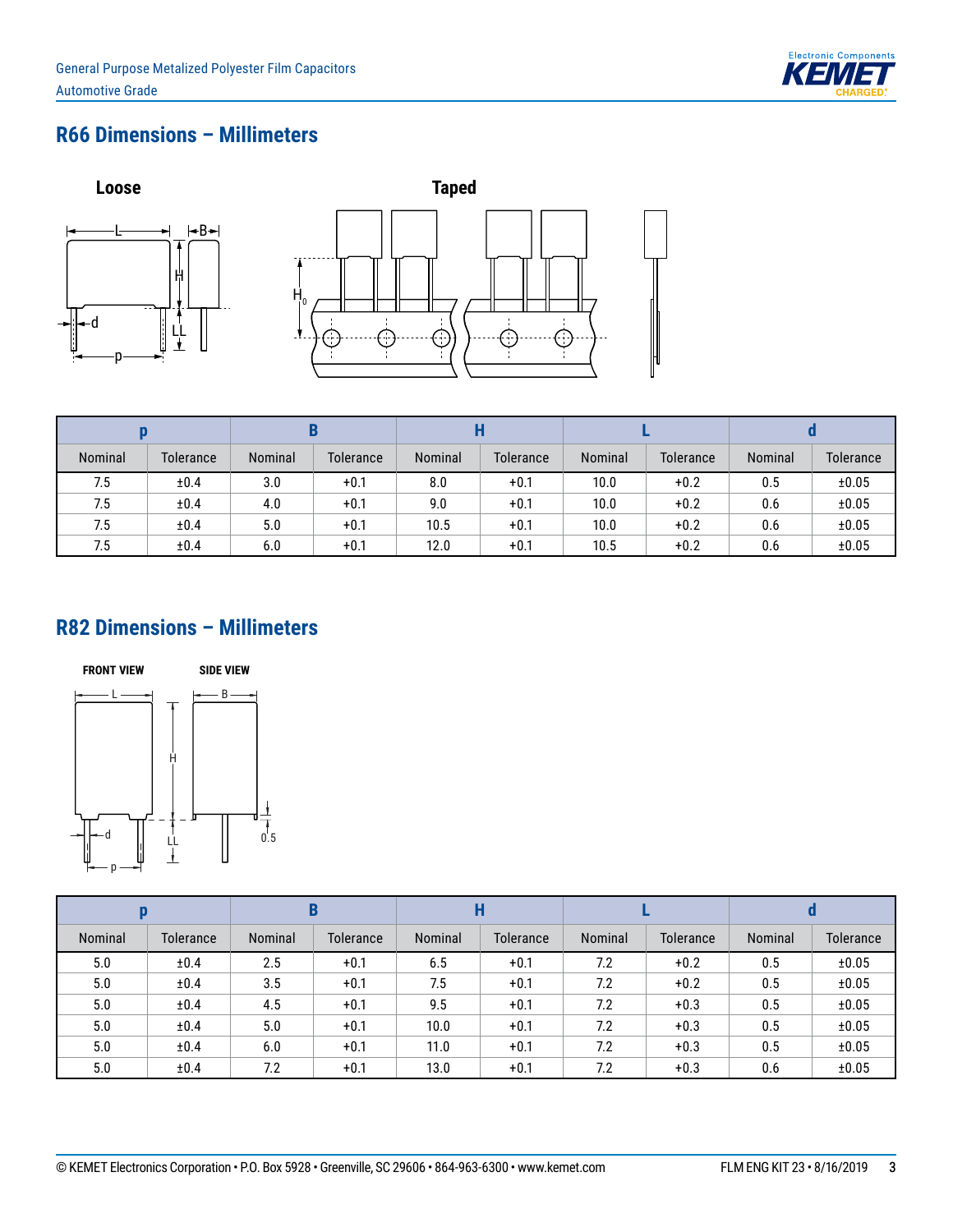![](_page_2_Picture_1.jpeg)

# **R66 Dimensions – Millimeters**

![](_page_2_Figure_3.jpeg)

| Nominal | Tolerance | Nominal | <b>Tolerance</b> | Nominal | Tolerance | Nominal | <b>Tolerance</b> | Nominal | Tolerance |
|---------|-----------|---------|------------------|---------|-----------|---------|------------------|---------|-----------|
| 7.5     | ±0.4      | 3.0     | $+0.1$           | 8.0     | $+0.1$    | 10.0    | $+0.2$           | 0.5     | ±0.05     |
| 7.5     | ±0.4      | 4.0     | $+0.1$           | 9.0     | $+0.1$    | 10.0    | $+0.2$           | 0.6     | ±0.05     |
| 7.5     | ±0.4      | 5.0     | $+0.1$           | 10.5    | $+0.1$    | 10.0    | $+0.2$           | 0.6     | ±0.05     |
| 7.5     | ±0.4      | 6.0     | $+0.1$           | 12.0    | $+0.1$    | 10.5    | $+0.2$           | 0.6     | ±0.05     |

### **R82 Dimensions – Millimeters**

![](_page_2_Figure_6.jpeg)

| Nominal | Tolerance | Nominal | Tolerance | Nominal | <b>Tolerance</b> | Nominal | <b>Tolerance</b> | Nominal | <b>Tolerance</b> |
|---------|-----------|---------|-----------|---------|------------------|---------|------------------|---------|------------------|
| 5.0     | ±0.4      | 2.5     | $+0.1$    | 6.5     | $+0.1$           | 7.2     | $+0.2$           | 0.5     | ±0.05            |
| 5.0     | ±0.4      | 3.5     | $+0.1$    | 7.5     | $+0.1$           | 7.2     | $+0.2$           | 0.5     | ±0.05            |
| 5.0     | ±0.4      | 4.5     | $+0.1$    | 9.5     | $+0.1$           | 7.2     | $+0.3$           | 0.5     | ±0.05            |
| 5.0     | ±0.4      | 5.0     | $+0.1$    | 10.0    | $+0.1$           | 7.2     | $+0.3$           | 0.5     | ±0.05            |
| 5.0     | ±0.4      | 6.0     | $+0.1$    | 11.0    | $+0.1$           | 7.2     | $+0.3$           | 0.5     | ±0.05            |
| 5.0     | ±0.4      | 7.2     | $+0.1$    | 13.0    | $+0.1$           | 7.2     | $+0.3$           | 0.6     | ±0.05            |